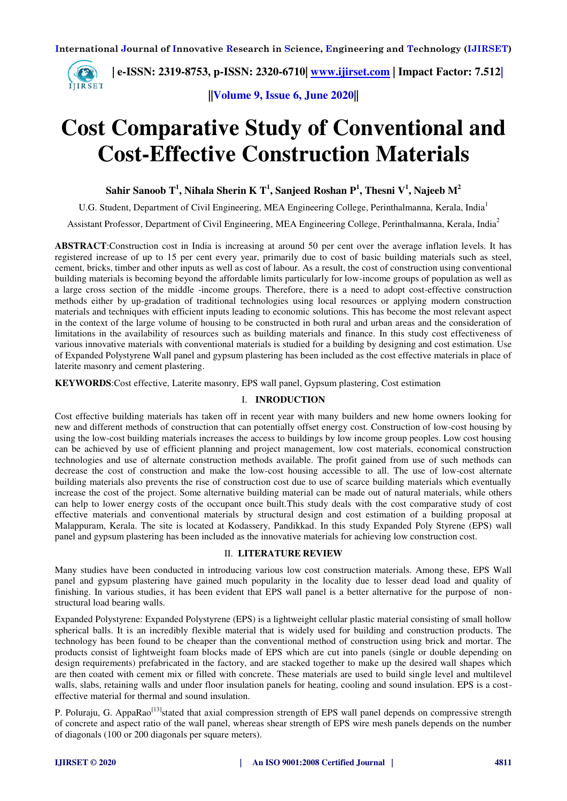

**||Volume 9, Issue 6, June 2020||** 

# **Cost Comparative Study of Conventional and Cost-Effective Construction Materials**

**Sahir Sanoob T<sup>1</sup> , Nihala Sherin K T<sup>1</sup> , Sanjeed Roshan P<sup>1</sup> , Thesni V<sup>1</sup> , Najeeb M<sup>2</sup>**

U.G. Student, Department of Civil Engineering, MEA Engineering College, Perinthalmanna, Kerala, India<sup>1</sup>

Assistant Professor, Department of Civil Engineering, MEA Engineering College, Perinthalmanna, Kerala, India<sup>2</sup>

**ABSTRACT**:Construction cost in India is increasing at around 50 per cent over the average inflation levels. It has registered increase of up to 15 per cent every year, primarily due to cost of basic building materials such as steel, cement, bricks, timber and other inputs as well as cost of labour. As a result, the cost of construction using conventional building materials is becoming beyond the affordable limits particularly for low-income groups of population as well as a large cross section of the middle -income groups. Therefore, there is a need to adopt cost-effective construction methods either by up-gradation of traditional technologies using local resources or applying modern construction materials and techniques with efficient inputs leading to economic solutions. This has become the most relevant aspect in the context of the large volume of housing to be constructed in both rural and urban areas and the consideration of limitations in the availability of resources such as building materials and finance. In this study cost effectiveness of various innovative materials with conventional materials is studied for a building by designing and cost estimation. Use of Expanded Polystyrene Wall panel and gypsum plastering has been included as the cost effective materials in place of laterite masonry and cement plastering.

**KEYWORDS**:Cost effective, Laterite masonry, EPS wall panel, Gypsum plastering, Cost estimation

# I. **INRODUCTION**

Cost effective building materials has taken off in recent year with many builders and new home owners looking for new and different methods of construction that can potentially offset energy cost. Construction of low-cost housing by using the low-cost building materials increases the access to buildings by low income group peoples. Low cost housing can be achieved by use of efficient planning and project management, low cost materials, economical construction technologies and use of alternate construction methods available. The profit gained from use of such methods can decrease the cost of construction and make the low-cost housing accessible to all. The use of low-cost alternate building materials also prevents the rise of construction cost due to use of scarce building materials which eventually increase the cost of the project. Some alternative building material can be made out of natural materials, while others can help to lower energy costs of the occupant once built.This study deals with the cost comparative study of cost effective materials and conventional materials by structural design and cost estimation of a building proposal at Malappuram, Kerala. The site is located at Kodassery, Pandikkad. In this study Expanded Poly Styrene (EPS) wall panel and gypsum plastering has been included as the innovative materials for achieving low construction cost.

# II. **LITERATURE REVIEW**

Many studies have been conducted in introducing various low cost construction materials. Among these, EPS Wall panel and gypsum plastering have gained much popularity in the locality due to lesser dead load and quality of finishing. In various studies, it has been evident that EPS wall panel is a better alternative for the purpose of nonstructural load bearing walls.

Expanded Polystyrene: Expanded Polystyrene (EPS) is a lightweight cellular plastic material consisting of small hollow spherical balls. It is an incredibly flexible material that is widely used for building and construction products. The technology has been found to be cheaper than the conventional method of construction using brick and mortar. The products consist of lightweight foam blocks made of EPS which are cut into panels (single or double depending on design requirements) prefabricated in the factory, and are stacked together to make up the desired wall shapes which are then coated with cement mix or filled with concrete. These materials are used to build single level and multilevel walls, slabs, retaining walls and under floor insulation panels for heating, cooling and sound insulation. EPS is a costeffective material for thermal and sound insulation.

P. Poluraju, G. AppaRao<sup>[13]</sup>stated that axial compression strength of EPS wall panel depends on compressive strength of concrete and aspect ratio of the wall panel, whereas shear strength of EPS wire mesh panels depends on the number of diagonals (100 or 200 diagonals per square meters).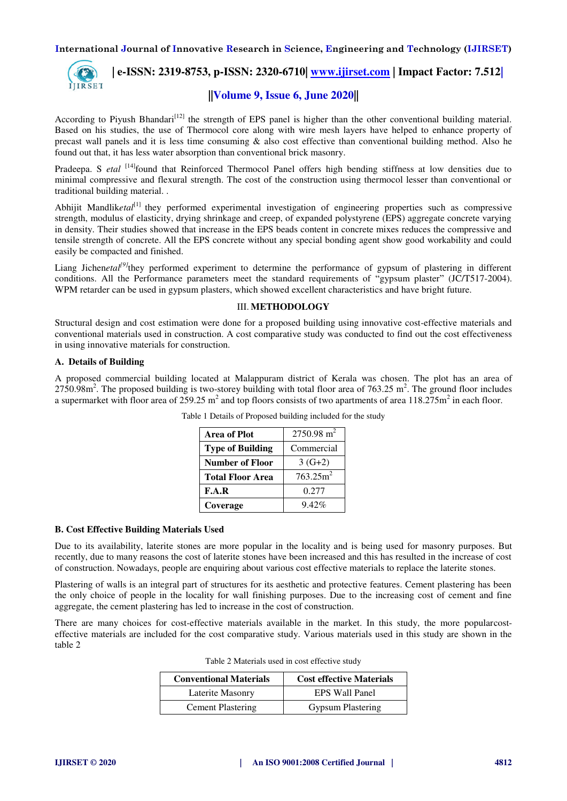

 **| e-ISSN: 2319-8753, p-ISSN: 2320-6710| [www.ijirset.com](http://www.ijirset.com/) | Impact Factor: 7.512|**

# **||Volume 9, Issue 6, June 2020||**

According to Piyush Bhandari<sup>[12]</sup> the strength of EPS panel is higher than the other conventional building material. Based on his studies, the use of Thermocol core along with wire mesh layers have helped to enhance property of precast wall panels and it is less time consuming & also cost effective than conventional building method. Also he found out that, it has less water absorption than conventional brick masonry.

Pradeepa. S *etal* <sup>[14]</sup>found that Reinforced Thermocol Panel offers high bending stiffness at low densities due to minimal compressive and flexural strength. The cost of the construction using thermocol lesser than conventional or traditional building material. .

Abhijit Mandlik*etal*[1] they performed experimental investigation of engineering properties such as compressive strength, modulus of elasticity, drying shrinkage and creep, of expanded polystyrene (EPS) aggregate concrete varying in density. Their studies showed that increase in the EPS beads content in concrete mixes reduces the compressive and tensile strength of concrete. All the EPS concrete without any special bonding agent show good workability and could easily be compacted and finished.

Liang Jichen*etal*<sup>[9]</sup>they performed experiment to determine the performance of gypsum of plastering in different conditions. All the Performance parameters meet the standard requirements of "gypsum plaster" (JC/T517-2004). WPM retarder can be used in gypsum plasters, which showed excellent characteristics and have bright future.

# III. **METHODOLOGY**

Structural design and cost estimation were done for a proposed building using innovative cost-effective materials and conventional materials used in construction. A cost comparative study was conducted to find out the cost effectiveness in using innovative materials for construction.

## **A. Details of Building**

A proposed commercial building located at Malappuram district of Kerala was chosen. The plot has an area of  $2750.98$ m<sup>2</sup>. The proposed building is two-storey building with total floor area of  $763.25$  m<sup>2</sup>. The ground floor includes a supermarket with floor area of  $259.25 \text{ m}^2$  and top floors consists of two apartments of area  $118.275 \text{ m}^2$  in each floor.

| <b>Area of Plot</b>     | $2750.98$ m <sup>2</sup> |
|-------------------------|--------------------------|
| <b>Type of Building</b> | Commercial               |
| <b>Number of Floor</b>  | $3(G+2)$                 |
| <b>Total Floor Area</b> | 763.25m <sup>2</sup>     |
| F.A.R                   | 0.277                    |
| Coverage                | $9.42\%$                 |

Table 1 Details of Proposed building included for the study

#### **B. Cost Effective Building Materials Used**

Due to its availability, laterite stones are more popular in the locality and is being used for masonry purposes. But recently, due to many reasons the cost of laterite stones have been increased and this has resulted in the increase of cost of construction. Nowadays, people are enquiring about various cost effective materials to replace the laterite stones.

Plastering of walls is an integral part of structures for its aesthetic and protective features. Cement plastering has been the only choice of people in the locality for wall finishing purposes. Due to the increasing cost of cement and fine aggregate, the cement plastering has led to increase in the cost of construction.

There are many choices for cost-effective materials available in the market. In this study, the more popularcosteffective materials are included for the cost comparative study. Various materials used in this study are shown in the table 2

| <b>Conventional Materials</b> | <b>Cost effective Materials</b> |  |
|-------------------------------|---------------------------------|--|
| Laterite Masonry              | EPS Wall Panel                  |  |
| <b>Cement Plastering</b>      | <b>Gypsum Plastering</b>        |  |

Table 2 Materials used in cost effective study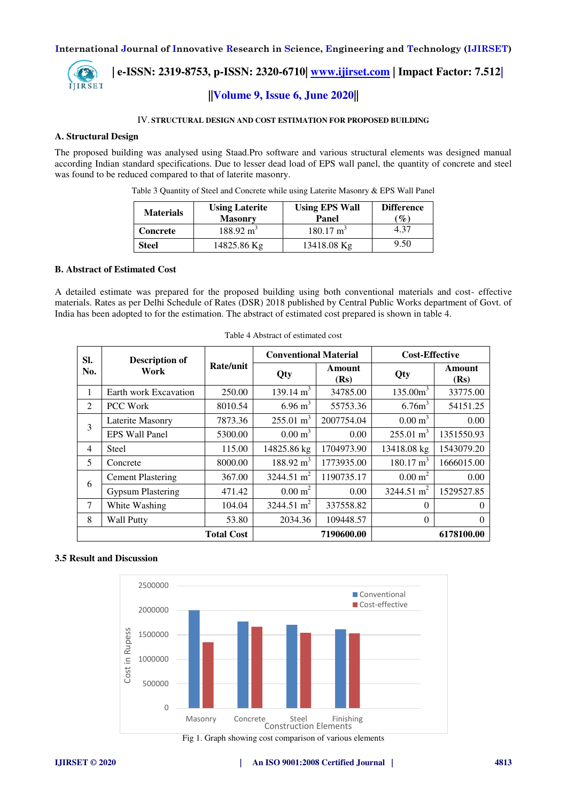

 **| e-ISSN: 2319-8753, p-ISSN: 2320-6710| [www.ijirset.com](http://www.ijirset.com/) | Impact Factor: 7.512| ||Volume 9, Issue 6, June 2020||** 

#### IV. **STRUCTURAL DESIGN AND COST ESTIMATION FOR PROPOSED BUILDING**

#### **A. Structural Design**

The proposed building was analysed using Staad.Pro software and various structural elements was designed manual according Indian standard specifications. Due to lesser dead load of EPS wall panel, the quantity of concrete and steel was found to be reduced compared to that of laterite masonry.

| Leing Lotorito                                                                       |  | <b>Heing FDC Woll</b> | Difference L |  |
|--------------------------------------------------------------------------------------|--|-----------------------|--------------|--|
| Table 3 Quantity of Steel and Concrete while using Laterite Masonry & EPS Wall Panel |  |                       |              |  |

| <b>Materials</b> | <b>Using Laterite</b><br><b>Masonry</b> | <b>Using EPS Wall</b><br>Panel | <b>Difference</b><br>$\mathscr{G}_o$ |
|------------------|-----------------------------------------|--------------------------------|--------------------------------------|
| <b>Concrete</b>  | $188.92 \text{ m}^3$                    | $180.17 \text{ m}^3$           | 4.37                                 |
| Steel            | 14825.86 Kg                             | 13418.08 Kg                    | 9.50                                 |

#### **B. Abstract of Estimated Cost**

A detailed estimate was prepared for the proposed building using both conventional materials and cost- effective materials. Rates as per Delhi Schedule of Rates (DSR) 2018 published by Central Public Works department of Govt. of India has been adopted to for the estimation. The abstract of estimated cost prepared is shown in table 4.

| SI.            | <b>Description of</b><br>Work |                   | <b>Conventional Material</b> |                | <b>Cost-Effective</b>  |                |
|----------------|-------------------------------|-------------------|------------------------------|----------------|------------------------|----------------|
| No.            |                               | Rate/unit         | Qty                          | Amount<br>(Rs) | Qty                    | Amount<br>(Rs) |
| 1              | Earth work Excavation         | 250.00            | 139.14 $m^3$                 | 34785.00       | 135.00m <sup>3</sup>   | 33775.00       |
| 2              | <b>PCC Work</b>               | 8010.54           | $6.96 \text{ m}^3$           | 55753.36       | 6.76m <sup>3</sup>     | 54151.25       |
| 3              | Laterite Masonry              | 7873.36           | $255.01 \text{ m}^3$         | 2007754.04     | $0.00 \text{ m}^3$     | 0.00           |
|                | <b>EPS Wall Panel</b>         | 5300.00           | $0.00 \text{ m}^3$           | 0.00           | $255.01 \text{ m}^3$   | 1351550.93     |
| $\overline{4}$ | Steel                         | 115.00            | 14825.86 kg                  | 1704973.90     | 13418.08 kg            | 1543079.20     |
| 5              | Concrete                      | 8000.00           | $188.92 \text{ m}^3$         | 1773935.00     | $180.17 \text{ m}^3$   | 1666015.00     |
| 6              | <b>Cement Plastering</b>      | 367.00            | 3244.51 m <sup>2</sup>       | 1190735.17     | $0.00 \text{ m}^2$     | 0.00           |
|                | <b>Gypsum Plastering</b>      | 471.42            | $0.00 \text{ m}^2$           | 0.00           | 3244.51 m <sup>2</sup> | 1529527.85     |
| 7              | White Washing                 | 104.04            | 3244.51 m <sup>2</sup>       | 337558.82      | $\Omega$               | $\Omega$       |
| 8              | <b>Wall Putty</b>             | 53.80             | 2034.36                      | 109448.57      | $\Omega$               | $\Omega$       |
|                |                               | <b>Total Cost</b> |                              | 7190600.00     |                        | 6178100.00     |

#### Table 4 Abstract of estimated cost

#### **3.5 Result and Discussion**



Fig 1. Graph showing cost comparison of various elements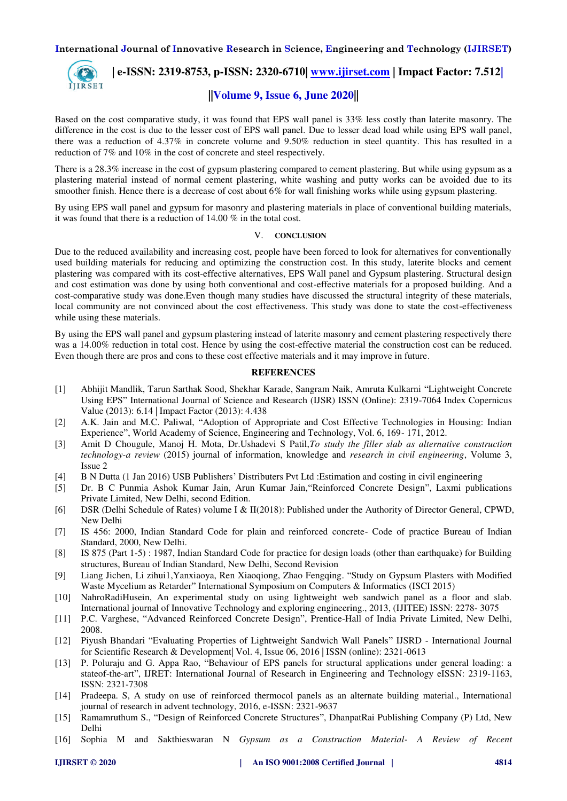

 **| e-ISSN: 2319-8753, p-ISSN: 2320-6710| [www.ijirset.com](http://www.ijirset.com/) | Impact Factor: 7.512|**

# **||Volume 9, Issue 6, June 2020||**

Based on the cost comparative study, it was found that EPS wall panel is 33% less costly than laterite masonry. The difference in the cost is due to the lesser cost of EPS wall panel. Due to lesser dead load while using EPS wall panel, there was a reduction of 4.37% in concrete volume and 9.50% reduction in steel quantity. This has resulted in a reduction of 7% and 10% in the cost of concrete and steel respectively.

There is a 28.3% increase in the cost of gypsum plastering compared to cement plastering. But while using gypsum as a plastering material instead of normal cement plastering, white washing and putty works can be avoided due to its smoother finish. Hence there is a decrease of cost about 6% for wall finishing works while using gypsum plastering.

By using EPS wall panel and gypsum for masonry and plastering materials in place of conventional building materials, it was found that there is a reduction of 14.00 % in the total cost.

#### V. **CONCLUSION**

Due to the reduced availability and increasing cost, people have been forced to look for alternatives for conventionally used building materials for reducing and optimizing the construction cost. In this study, laterite blocks and cement plastering was compared with its cost-effective alternatives, EPS Wall panel and Gypsum plastering. Structural design and cost estimation was done by using both conventional and cost-effective materials for a proposed building. And a cost-comparative study was done.Even though many studies have discussed the structural integrity of these materials, local community are not convinced about the cost effectiveness. This study was done to state the cost-effectiveness while using these materials.

By using the EPS wall panel and gypsum plastering instead of laterite masonry and cement plastering respectively there was a 14.00% reduction in total cost. Hence by using the cost-effective material the construction cost can be reduced. Even though there are pros and cons to these cost effective materials and it may improve in future.

## **REFERENCES**

- [1] Abhijit Mandlik, Tarun Sarthak Sood, Shekhar Karade, Sangram Naik, Amruta Kulkarni "Lightweight Concrete Using EPS" International Journal of Science and Research (IJSR) ISSN (Online): 2319-7064 Index Copernicus Value (2013): 6.14 | Impact Factor (2013): 4.438
- [2] A.K. Jain and M.C. Paliwal, "Adoption of Appropriate and Cost Effective Technologies in Housing: Indian Experience", World Academy of Science, Engineering and Technology, Vol. 6, 169- 171, 2012.
- [3] Amit D Chougule, Manoj H. Mota, Dr.Ushadevi S Patil,*To study the filler slab as alternative construction technology-a review* (2015) journal of information, knowledge and *research in civil engineering*, Volume 3, Issue 2
- [4] B N Dutta (1 Jan 2016) USB Publishers' Distributers Pvt Ltd :Estimation and costing in civil engineering
- [5] Dr. B C Punmia Ashok Kumar Jain, Arun Kumar Jain,"Reinforced Concrete Design", Laxmi publications Private Limited, New Delhi, second Edition.
- [6] DSR (Delhi Schedule of Rates) volume I & II(2018): Published under the Authority of Director General, CPWD, New Delhi
- [7] IS 456: 2000, Indian Standard Code for plain and reinforced concrete- Code of practice Bureau of Indian Standard, 2000, New Delhi.
- [8] IS 875 (Part 1-5) : 1987, Indian Standard Code for practice for design loads (other than earthquake) for Building structures, Bureau of Indian Standard, New Delhi, Second Revision
- [9] Liang Jichen, Li zihui1,Yanxiaoya, Ren Xiaoqiong, Zhao Fengqing. "Study on Gypsum Plasters with Modified Waste Mycelium as Retarder" International Symposium on Computers & Informatics (ISCI 2015)
- [10] NahroRadiHusein, An experimental study on using lightweight web sandwich panel as a floor and slab. International journal of Innovative Technology and exploring engineering., 2013, (IJITEE) ISSN: 2278- 3075
- [11] P.C. Varghese, "Advanced Reinforced Concrete Design", Prentice-Hall of India Private Limited, New Delhi, 2008.
- [12] Piyush Bhandari "Evaluating Properties of Lightweight Sandwich Wall Panels" IJSRD International Journal for Scientific Research & Development| Vol. 4, Issue 06, 2016 | ISSN (online): 2321-0613
- [13] P. Poluraju and G. Appa Rao, "Behaviour of EPS panels for structural applications under general loading: a stateof-the-art", IJRET: International Journal of Research in Engineering and Technology eISSN: 2319-1163, ISSN: 2321-7308
- [14] Pradeepa. S, A study on use of reinforced thermocol panels as an alternate building material., International journal of research in advent technology, 2016, e-ISSN: 2321-9637
- [15] Ramamruthum S., "Design of Reinforced Concrete Structures", DhanpatRai Publishing Company (P) Ltd, New Delhi
- [16] Sophia M and Sakthieswaran N *Gypsum as a Construction Material- A Review of Recent*